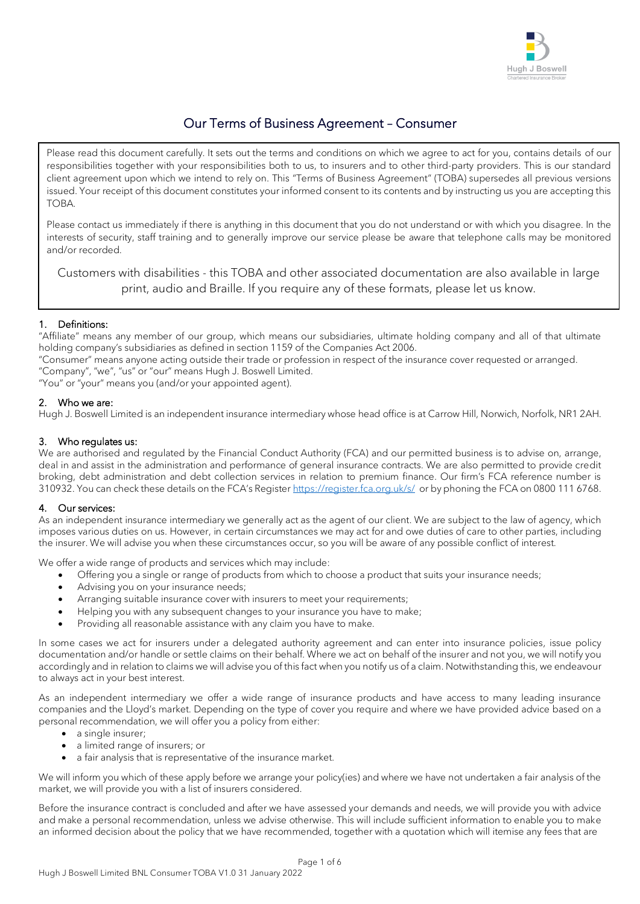

# Our Terms of Business Agreement – Consumer

Please read this document carefully. It sets out the terms and conditions on which we agree to act for you, contains details of our responsibilities together with your responsibilities both to us, to insurers and to other third-party providers. This is our standard client agreement upon which we intend to rely on. This "Terms of Business Agreement" (TOBA) supersedes all previous versions issued. Your receipt of this document constitutes your informed consent to its contents and by instructing us you are accepting this TOBA.

Please contact us immediately if there is anything in this document that you do not understand or with which you disagree. In the interests of security, staff training and to generally improve our service please be aware that telephone calls may be monitored and/or recorded.

Customers with disabilities - this TOBA and other associated documentation are also available in large print, audio and Braille. If you require any of these formats, please let us know.

# 1. Definitions:

"Affiliate" means any member of our group, which means our subsidiaries, ultimate holding company and all of that ultimate holding company's subsidiaries as defined in section 1159 of the Companies Act 2006.

"Consumer" means anyone acting outside their trade or profession in respect of the insurance cover requested or arranged. "Company", "we", "us" or "our" means Hugh J. Boswell Limited.

"You" or "your" means you (and/or your appointed agent).

# 2. Who we are:

Hugh J. Boswell Limited is an independent insurance intermediary whose head office is at Carrow Hill, Norwich, Norfolk, NR1 2AH.

# 3. Who regulates us:

We are authorised and regulated by the Financial Conduct Authority (FCA) and our permitted business is to advise on, arrange, deal in and assist in the administration and performance of general insurance contracts. We are also permitted to provide credit broking, debt administration and debt collection services in relation to premium finance. Our firm's FCA reference number is 310932. You can check these details on the FCA's Register <https://register.fca.org.uk/s/>or by phoning the FCA on 0800 111 6768.

#### 4. Our services:

As an independent insurance intermediary we generally act as the agent of our client. We are subject to the law of agency, which imposes various duties on us. However, in certain circumstances we may act for and owe duties of care to other parties, including the insurer. We will advise you when these circumstances occur, so you will be aware of any possible conflict of interest.

We offer a wide range of products and services which may include:

- Offering you a single or range of products from which to choose a product that suits your insurance needs;
- Advising you on your insurance needs;
- Arranging suitable insurance cover with insurers to meet your requirements;
- Helping you with any subsequent changes to your insurance you have to make;
- Providing all reasonable assistance with any claim you have to make.

In some cases we act for insurers under a delegated authority agreement and can enter into insurance policies, issue policy documentation and/or handle or settle claims on their behalf. Where we act on behalf of the insurer and not you, we will notify you accordingly and in relation to claims we will advise you of this fact when you notify us of a claim. Notwithstanding this, we endeavour to always act in your best interest.

As an independent intermediary we offer a wide range of insurance products and have access to many leading insurance companies and the Lloyd's market. Depending on the type of cover you require and where we have provided advice based on a personal recommendation, we will offer you a policy from either:

- a single insurer;
- a limited range of insurers; or
- a fair analysis that is representative of the insurance market.

We will inform you which of these apply before we arrange your policy(ies) and where we have not undertaken a fair analysis of the market, we will provide you with a list of insurers considered.

Before the insurance contract is concluded and after we have assessed your demands and needs, we will provide you with advice and make a personal recommendation, unless we advise otherwise. This will include sufficient information to enable you to make an informed decision about the policy that we have recommended, together with a quotation which will itemise any fees that are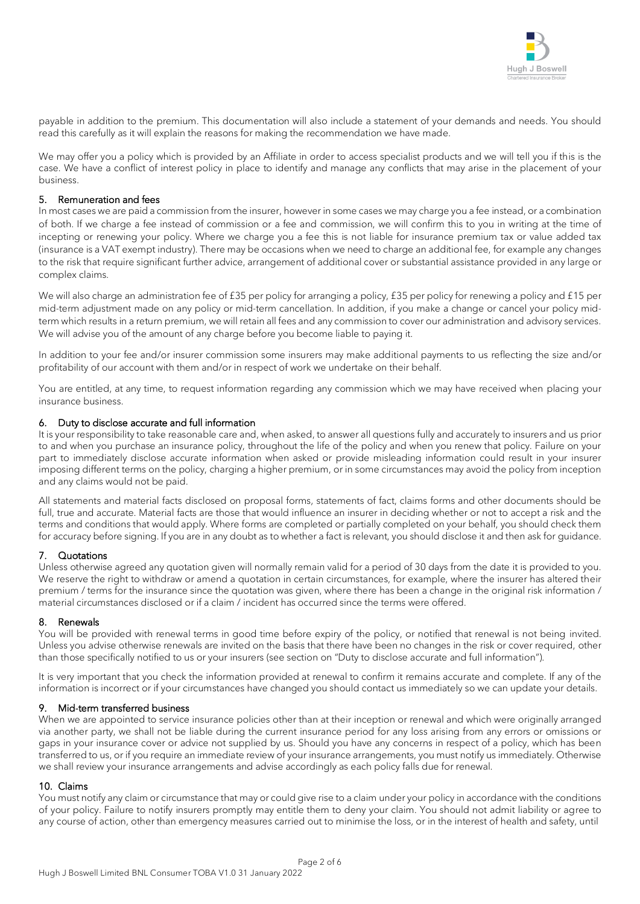

payable in addition to the premium. This documentation will also include a statement of your demands and needs. You should read this carefully as it will explain the reasons for making the recommendation we have made.

We may offer you a policy which is provided by an Affiliate in order to access specialist products and we will tell you if this is the case. We have a conflict of interest policy in place to identify and manage any conflicts that may arise in the placement of your business.

#### 5. Remuneration and fees

In most cases we are paid a commission from the insurer, however in some cases we may charge you a fee instead, or a combination of both. If we charge a fee instead of commission or a fee and commission, we will confirm this to you in writing at the time of incepting or renewing your policy. Where we charge you a fee this is not liable for insurance premium tax or value added tax (insurance is a VAT exempt industry). There may be occasions when we need to charge an additional fee, for example any changes to the risk that require significant further advice, arrangement of additional cover or substantial assistance provided in any large or complex claims.

We will also charge an administration fee of £35 per policy for arranging a policy, £35 per policy for renewing a policy and £15 per mid-term adjustment made on any policy or mid-term cancellation. In addition, if you make a change or cancel your policy midterm which results in a return premium, we will retain all fees and any commission to cover our administration and advisory services. We will advise you of the amount of any charge before you become liable to paying it.

In addition to your fee and/or insurer commission some insurers may make additional payments to us reflecting the size and/or profitability of our account with them and/or in respect of work we undertake on their behalf.

You are entitled, at any time, to request information regarding any commission which we may have received when placing your insurance business.

#### 6. Duty to disclose accurate and full information

It is your responsibility to take reasonable care and, when asked, to answer all questions fully and accurately to insurers and us prior to and when you purchase an insurance policy, throughout the life of the policy and when you renew that policy. Failure on your part to immediately disclose accurate information when asked or provide misleading information could result in your insurer imposing different terms on the policy, charging a higher premium, or in some circumstances may avoid the policy from inception and any claims would not be paid.

All statements and material facts disclosed on proposal forms, statements of fact, claims forms and other documents should be full, true and accurate. Material facts are those that would influence an insurer in deciding whether or not to accept a risk and the terms and conditions that would apply. Where forms are completed or partially completed on your behalf, you should check them for accuracy before signing. If you are in any doubt as to whether a fact is relevant, you should disclose it and then ask for guidance.

# 7. Quotations

Unless otherwise agreed any quotation given will normally remain valid for a period of 30 days from the date it is provided to you. We reserve the right to withdraw or amend a quotation in certain circumstances, for example, where the insurer has altered their premium / terms for the insurance since the quotation was given, where there has been a change in the original risk information / material circumstances disclosed or if a claim / incident has occurred since the terms were offered.

#### 8. Renewals

You will be provided with renewal terms in good time before expiry of the policy, or notified that renewal is not being invited. Unless you advise otherwise renewals are invited on the basis that there have been no changes in the risk or cover required, other than those specifically notified to us or your insurers (see section on "Duty to disclose accurate and full information").

It is very important that you check the information provided at renewal to confirm it remains accurate and complete. If any of the information is incorrect or if your circumstances have changed you should contact us immediately so we can update your details.

#### 9. Mid-term transferred business

When we are appointed to service insurance policies other than at their inception or renewal and which were originally arranged via another party, we shall not be liable during the current insurance period for any loss arising from any errors or omissions or gaps in your insurance cover or advice not supplied by us. Should you have any concerns in respect of a policy, which has been transferred to us, or if you require an immediate review of your insurance arrangements, you must notify us immediately. Otherwise we shall review your insurance arrangements and advise accordingly as each policy falls due for renewal.

#### 10. Claims

You must notify any claim or circumstance that may or could give rise to a claim under your policy in accordance with the conditions of your policy. Failure to notify insurers promptly may entitle them to deny your claim. You should not admit liability or agree to any course of action, other than emergency measures carried out to minimise the loss, or in the interest of health and safety, until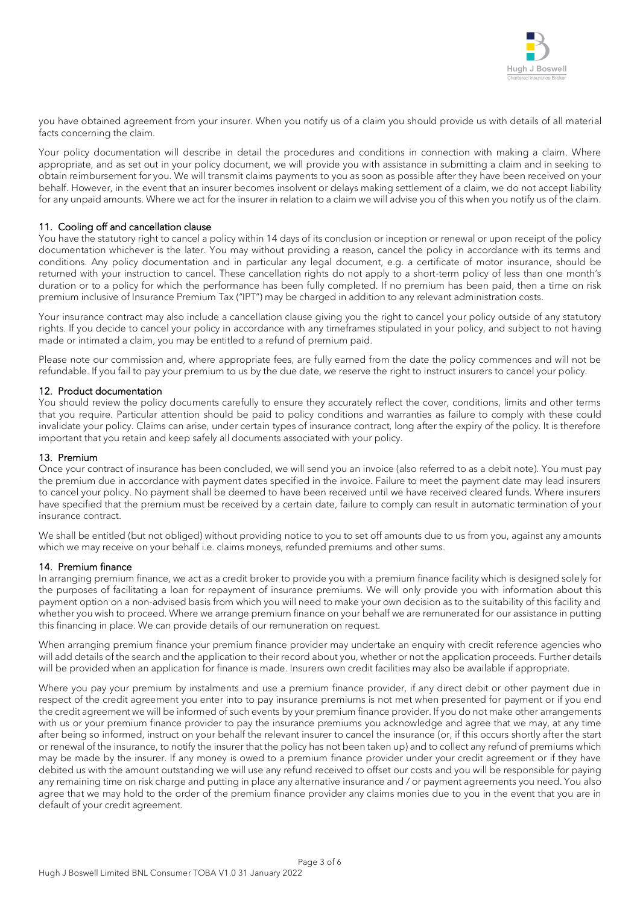

you have obtained agreement from your insurer. When you notify us of a claim you should provide us with details of all material facts concerning the claim.

Your policy documentation will describe in detail the procedures and conditions in connection with making a claim. Where appropriate, and as set out in your policy document, we will provide you with assistance in submitting a claim and in seeking to obtain reimbursement for you. We will transmit claims payments to you as soon as possible after they have been received on your behalf. However, in the event that an insurer becomes insolvent or delays making settlement of a claim, we do not accept liability for any unpaid amounts. Where we act for the insurer in relation to a claim we will advise you of this when you notify us of the claim.

#### 11. Cooling off and cancellation clause

You have the statutory right to cancel a policy within 14 days of its conclusion or inception or renewal or upon receipt of the policy documentation whichever is the later. You may without providing a reason, cancel the policy in accordance with its terms and conditions. Any policy documentation and in particular any legal document, e.g. a certificate of motor insurance, should be returned with your instruction to cancel. These cancellation rights do not apply to a short-term policy of less than one month's duration or to a policy for which the performance has been fully completed. If no premium has been paid, then a time on risk premium inclusive of Insurance Premium Tax ("IPT") may be charged in addition to any relevant administration costs.

Your insurance contract may also include a cancellation clause giving you the right to cancel your policy outside of any statutory rights. If you decide to cancel your policy in accordance with any timeframes stipulated in your policy, and subject to not having made or intimated a claim, you may be entitled to a refund of premium paid.

Please note our commission and, where appropriate fees, are fully earned from the date the policy commences and will not be refundable. If you fail to pay your premium to us by the due date, we reserve the right to instruct insurers to cancel your policy.

#### 12. Product documentation

You should review the policy documents carefully to ensure they accurately reflect the cover, conditions, limits and other terms that you require. Particular attention should be paid to policy conditions and warranties as failure to comply with these could invalidate your policy. Claims can arise, under certain types of insurance contract, long after the expiry of the policy. It is therefore important that you retain and keep safely all documents associated with your policy.

#### 13. Premium

Once your contract of insurance has been concluded, we will send you an invoice (also referred to as a debit note). You must pay the premium due in accordance with payment dates specified in the invoice. Failure to meet the payment date may lead insurers to cancel your policy. No payment shall be deemed to have been received until we have received cleared funds. Where insurers have specified that the premium must be received by a certain date, failure to comply can result in automatic termination of your insurance contract.

We shall be entitled (but not obliged) without providing notice to you to set off amounts due to us from you, against any amounts which we may receive on your behalf i.e. claims moneys, refunded premiums and other sums.

#### 14. Premium finance

In arranging premium finance, we act as a credit broker to provide you with a premium finance facility which is designed solely for the purposes of facilitating a loan for repayment of insurance premiums. We will only provide you with information about this payment option on a non-advised basis from which you will need to make your own decision as to the suitability of this facility and whether you wish to proceed. Where we arrange premium finance on your behalf we are remunerated for our assistance in putting this financing in place. We can provide details of our remuneration on request.

When arranging premium finance your premium finance provider may undertake an enquiry with credit reference agencies who will add details of the search and the application to their record about you, whether or not the application proceeds. Further details will be provided when an application for finance is made. Insurers own credit facilities may also be available if appropriate.

Where you pay your premium by instalments and use a premium finance provider, if any direct debit or other payment due in respect of the credit agreement you enter into to pay insurance premiums is not met when presented for payment or if you end the credit agreement we will be informed of such events by your premium finance provider. If you do not make other arrangements with us or your premium finance provider to pay the insurance premiums you acknowledge and agree that we may, at any time after being so informed, instruct on your behalf the relevant insurer to cancel the insurance (or, if this occurs shortly after the start or renewal of the insurance, to notify the insurer that the policy has not been taken up) and to collect any refund of premiums which may be made by the insurer. If any money is owed to a premium finance provider under your credit agreement or if they have debited us with the amount outstanding we will use any refund received to offset our costs and you will be responsible for paying any remaining time on risk charge and putting in place any alternative insurance and / or payment agreements you need. You also agree that we may hold to the order of the premium finance provider any claims monies due to you in the event that you are in default of your credit agreement.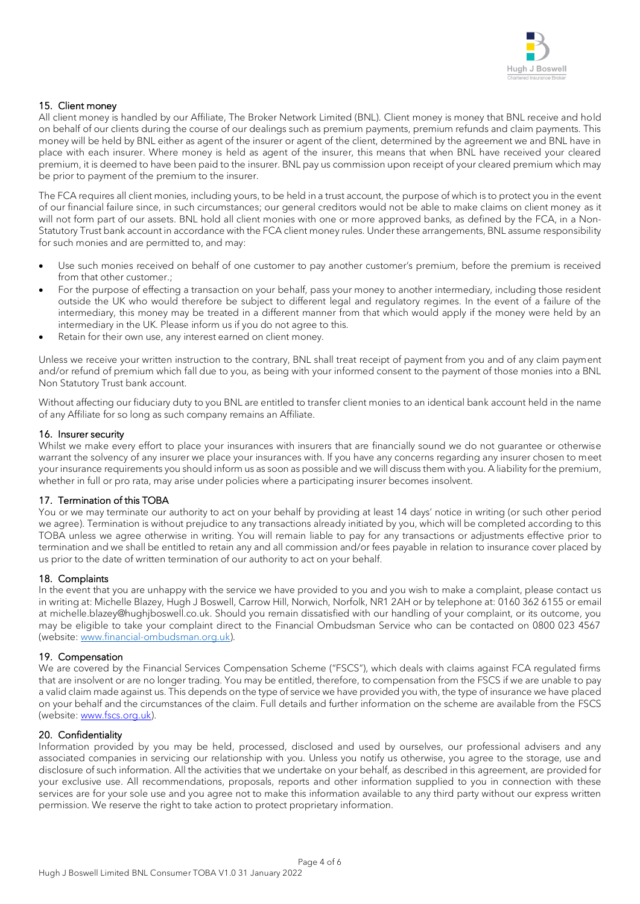

# 15. Client money

All client money is handled by our Affiliate, The Broker Network Limited (BNL). Client money is money that BNL receive and hold on behalf of our clients during the course of our dealings such as premium payments, premium refunds and claim payments. This money will be held by BNL either as agent of the insurer or agent of the client, determined by the agreement we and BNL have in place with each insurer. Where money is held as agent of the insurer, this means that when BNL have received your cleared premium, it is deemed to have been paid to the insurer. BNL pay us commission upon receipt of your cleared premium which may be prior to payment of the premium to the insurer.

The FCA requires all client monies, including yours, to be held in a trust account, the purpose of which is to protect you in the event of our financial failure since, in such circumstances; our general creditors would not be able to make claims on client money as it will not form part of our assets. BNL hold all client monies with one or more approved banks, as defined by the FCA, in a Non-Statutory Trust bank account in accordance with the FCA client money rules. Under these arrangements, BNL assume responsibility for such monies and are permitted to, and may:

- Use such monies received on behalf of one customer to pay another customer's premium, before the premium is received from that other customer.;
- For the purpose of effecting a transaction on your behalf, pass your money to another intermediary, including those resident outside the UK who would therefore be subject to different legal and regulatory regimes. In the event of a failure of the intermediary, this money may be treated in a different manner from that which would apply if the money were held by an intermediary in the UK. Please inform us if you do not agree to this.
- Retain for their own use, any interest earned on client money.

Unless we receive your written instruction to the contrary, BNL shall treat receipt of payment from you and of any claim payment and/or refund of premium which fall due to you, as being with your informed consent to the payment of those monies into a BNL Non Statutory Trust bank account.

Without affecting our fiduciary duty to you BNL are entitled to transfer client monies to an identical bank account held in the name of any Affiliate for so long as such company remains an Affiliate.

#### 16. Insurer security

Whilst we make every effort to place your insurances with insurers that are financially sound we do not quarantee or otherwise warrant the solvency of any insurer we place your insurances with. If you have any concerns regarding any insurer chosen to meet your insurance requirements you should inform us as soon as possible and we will discuss them with you. A liability for the premium, whether in full or pro rata, may arise under policies where a participating insurer becomes insolvent.

#### 17. Termination of this TOBA

You or we may terminate our authority to act on your behalf by providing at least 14 days' notice in writing (or such other period we agree). Termination is without prejudice to any transactions already initiated by you, which will be completed according to this TOBA unless we agree otherwise in writing. You will remain liable to pay for any transactions or adjustments effective prior to termination and we shall be entitled to retain any and all commission and/or fees payable in relation to insurance cover placed by us prior to the date of written termination of our authority to act on your behalf.

#### 18. Complaints

In the event that you are unhappy with the service we have provided to you and you wish to make a complaint, please contact us in writing at: Michelle Blazey, Hugh J Boswell, Carrow Hill, Norwich, Norfolk, NR1 2AH or by telephone at: 0160 362 6155 or email at michelle.blazey@hughjboswell.co.uk. Should you remain dissatisfied with our handling of your complaint, or its outcome, you may be eligible to take your complaint direct to the Financial Ombudsman Service who can be contacted on 0800 023 4567 (website: [www.financial-ombudsman.org.uk\)](http://www.financial-ombudsman.org.uk/).

#### 19. Compensation

We are covered by the Financial Services Compensation Scheme ("FSCS"), which deals with claims against FCA regulated firms that are insolvent or are no longer trading. You may be entitled, therefore, to compensation from the FSCS if we are unable to pay a valid claim made against us. This depends on the type of service we have provided you with, the type of insurance we have placed on your behalf and the circumstances of the claim. Full details and further information on the scheme are available from the FSCS (website: [www.fscs.org.uk\)](http://www.fscs.org.uk/).

#### 20. Confidentiality

Information provided by you may be held, processed, disclosed and used by ourselves, our professional advisers and any associated companies in servicing our relationship with you. Unless you notify us otherwise, you agree to the storage, use and disclosure of such information. All the activities that we undertake on your behalf, as described in this agreement, are provided for your exclusive use. All recommendations, proposals, reports and other information supplied to you in connection with these services are for your sole use and you agree not to make this information available to any third party without our express written permission. We reserve the right to take action to protect proprietary information.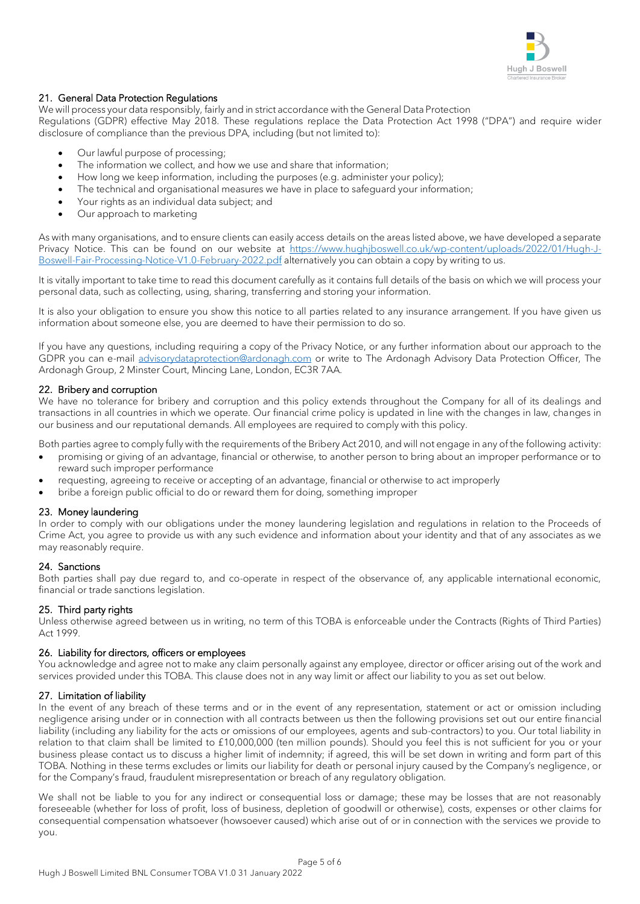

# 21. General Data Protection Regulations

We will process your data responsibly, fairly and in strict accordance with the General Data Protection

Regulations (GDPR) effective May 2018. These regulations replace the Data Protection Act 1998 ("DPA") and require wider disclosure of compliance than the previous DPA, including (but not limited to):

- Our lawful purpose of processing;
- The information we collect, and how we use and share that information;
- How long we keep information, including the purposes (e.g. administer your policy);
- The technical and organisational measures we have in place to safeguard your information;
- Your rights as an individual data subject; and
- Our approach to marketing

As with many organisations, and to ensure clients can easily access details on the areas listed above, we have developed a separate Privacy Notice. This can be found on our website at [https://www.hughjboswell.co.uk/wp-content/uploads/2022/01/Hugh-J-](https://www.hughjboswell.co.uk/wp-content/uploads/2022/01/Hugh-J-Boswell-Fair-Processing-Notice-V1.0-February-2022.pdf)[Boswell-Fair-Processing-Notice-V1.0-February-2022.pdf](https://www.hughjboswell.co.uk/wp-content/uploads/2022/01/Hugh-J-Boswell-Fair-Processing-Notice-V1.0-February-2022.pdf) alternatively you can obtain a copy by writing to us.

It is vitally important to take time to read this document carefully as it contains full details of the basis on which we will process your personal data, such as collecting, using, sharing, transferring and storing your information.

It is also your obligation to ensure you show this notice to all parties related to any insurance arrangement. If you have given us information about someone else, you are deemed to have their permission to do so.

If you have any questions, including requiring a copy of the Privacy Notice, or any further information about our approach to the GDPR you can e-mail [advisorydataprotection@ardonagh.com](mailto:advisorydataprotection@ardonagh.com) or write to The Ardonagh Advisory Data Protection Officer, The Ardonagh Group, 2 Minster Court, Mincing Lane, London, EC3R 7AA.

# 22. Bribery and corruption

We have no tolerance for bribery and corruption and this policy extends throughout the Company for all of its dealings and transactions in all countries in which we operate. Our financial crime policy is updated in line with the changes in law, changes in our business and our reputational demands. All employees are required to comply with this policy.

Both parties agree to comply fully with the requirements of the Bribery Act 2010, and will not engage in any of the following activity:

- promising or giving of an advantage, financial or otherwise, to another person to bring about an improper performance or to reward such improper performance
- requesting, agreeing to receive or accepting of an advantage, financial or otherwise to act improperly
- bribe a foreign public official to do or reward them for doing, something improper

#### 23. Money laundering

In order to comply with our obligations under the money laundering legislation and regulations in relation to the Proceeds of Crime Act, you agree to provide us with any such evidence and information about your identity and that of any associates as we may reasonably require.

#### 24. Sanctions

Both parties shall pay due regard to, and co-operate in respect of the observance of, any applicable international economic, financial or trade sanctions legislation.

# 25. Third party rights

Unless otherwise agreed between us in writing, no term of this TOBA is enforceable under the Contracts (Rights of Third Parties) Act 1999.

#### 26. Liability for directors, officers or employees

You acknowledge and agree not to make any claim personally against any employee, director or officer arising out of the work and services provided under this TOBA. This clause does not in any way limit or affect our liability to you as set out below.

#### 27. Limitation of liability

In the event of any breach of these terms and or in the event of any representation, statement or act or omission including negligence arising under or in connection with all contracts between us then the following provisions set out our entire financial liability (including any liability for the acts or omissions of our employees, agents and sub-contractors) to you. Our total liability in relation to that claim shall be limited to £10,000,000 (ten million pounds). Should you feel this is not sufficient for you or your business please contact us to discuss a higher limit of indemnity; if agreed, this will be set down in writing and form part of this TOBA. Nothing in these terms excludes or limits our liability for death or personal injury caused by the Company's negligence, or for the Company's fraud, fraudulent misrepresentation or breach of any regulatory obligation.

We shall not be liable to you for any indirect or consequential loss or damage; these may be losses that are not reasonably foreseeable (whether for loss of profit, loss of business, depletion of goodwill or otherwise), costs, expenses or other claims for consequential compensation whatsoever (howsoever caused) which arise out of or in connection with the services we provide to you.